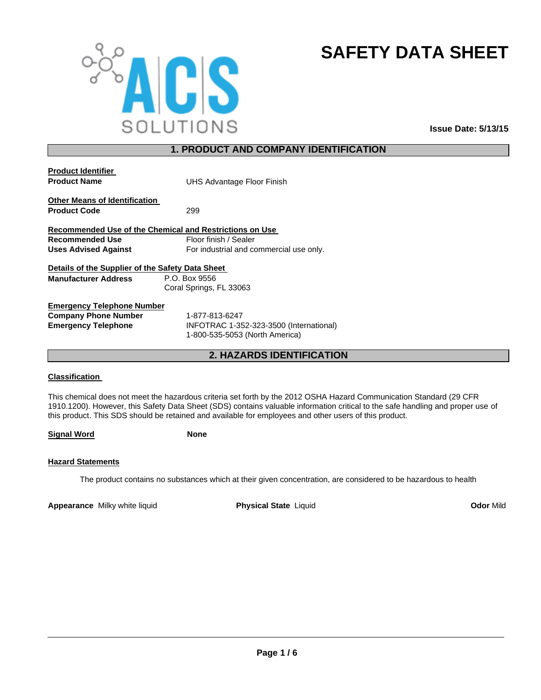

# **SAFETY DATA SHEET**

# **1. PRODUCT AND COMPANY IDENTIFICATION**

| <b>Product Identifier</b>                               |                                         |
|---------------------------------------------------------|-----------------------------------------|
| <b>Product Name</b>                                     | UHS Advantage Floor Finish              |
| <b>Other Means of Identification</b>                    |                                         |
| <b>Product Code</b>                                     | 299                                     |
| Recommended Use of the Chemical and Restrictions on Use |                                         |
| <b>Recommended Use</b>                                  | Floor finish / Sealer                   |
| <b>Uses Advised Against</b>                             | For industrial and commercial use only. |
| Details of the Supplier of the Safety Data Sheet        |                                         |
| <b>Manufacturer Address</b>                             | P.O. Box 9556                           |
|                                                         | Coral Springs, FL 33063                 |
| <b>Emergency Telephone Number</b>                       |                                         |

**Company Phone Number** 1-877-813-6247

**Emergency Telephone** INFOTRAC 1-352-323-3500 (International) 1-800-535-5053 (North America)

**2. HAZARDS IDENTIFICATION**

## **Classification**

This chemical does not meet the hazardous criteria set forth by the 2012 OSHA Hazard Communication Standard (29 CFR 1910.1200). However, this Safety Data Sheet (SDS) contains valuable information critical to the safe handling and proper use of this product. This SDS should be retained and available for employees and other users of this product.

**Signal Word None**

## **Hazard Statements**

The product contains no substances which at their given concentration, are considered to be hazardous to health

**Appearance** Milky white liquid **Physical State** Liquid **Odor** Mild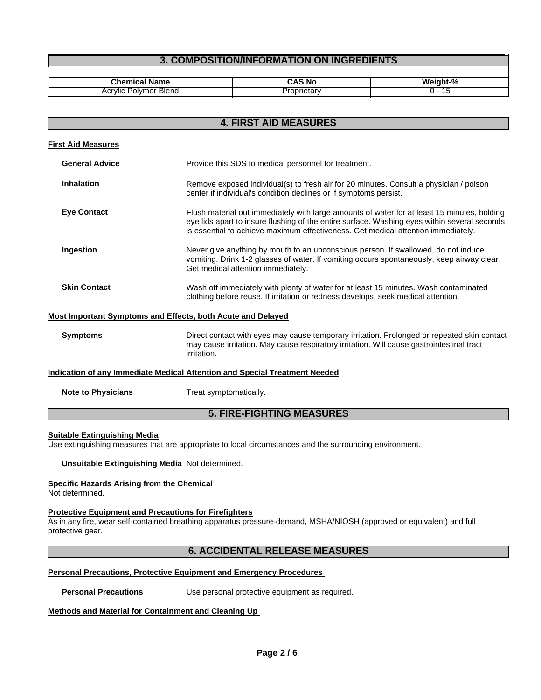# **3. COMPOSITION/INFORMATION ON INGREDIENTS**

| $\cdot$ .nem<br><b>THE REAL PROPERTY</b><br>∵ame<br>. | 'N.      | Weight-<br>-70<br>--- |
|-------------------------------------------------------|----------|-----------------------|
| Blend<br>Acr<br>olvmer<br>"VIIC                       | ---<br>∼ | . .                   |

| <b>4. FIRST AID MEASURES</b>                                |                                                                                                                                                                                                                                                                                  |  |
|-------------------------------------------------------------|----------------------------------------------------------------------------------------------------------------------------------------------------------------------------------------------------------------------------------------------------------------------------------|--|
| <b>First Aid Measures</b>                                   |                                                                                                                                                                                                                                                                                  |  |
| <b>General Advice</b>                                       | Provide this SDS to medical personnel for treatment.                                                                                                                                                                                                                             |  |
| Inhalation                                                  | Remove exposed individual(s) to fresh air for 20 minutes. Consult a physician / poison<br>center if individual's condition declines or if symptoms persist.                                                                                                                      |  |
| <b>Eye Contact</b>                                          | Flush material out immediately with large amounts of water for at least 15 minutes, holding<br>eye lids apart to insure flushing of the entire surface. Washing eyes within several seconds<br>is essential to achieve maximum effectiveness. Get medical attention immediately. |  |
| Ingestion                                                   | Never give anything by mouth to an unconscious person. If swallowed, do not induce<br>vomiting. Drink 1-2 glasses of water. If vomiting occurs spontaneously, keep airway clear.<br>Get medical attention immediately.                                                           |  |
| <b>Skin Contact</b>                                         | Wash off immediately with plenty of water for at least 15 minutes. Wash contaminated<br>clothing before reuse. If irritation or redness develops, seek medical attention.                                                                                                        |  |
| Most Important Symptoms and Effects, both Acute and Delayed |                                                                                                                                                                                                                                                                                  |  |
| <b>Symptoms</b>                                             | Direct contact with eyes may cause temporary irritation. Prolonged or repeated skin contact<br>may cause irritation. May cause respiratory irritation. Will cause gastrointestinal tract<br>irritation.                                                                          |  |

#### **Indication of any Immediate Medical Attention and Special Treatment Needed**

| <b>Note to Physicians</b> | Treat symptomatically. |
|---------------------------|------------------------|
|                           |                        |

# **5. FIRE-FIGHTING MEASURES**

#### **Suitable Extinguishing Media**

Use extinguishing measures that are appropriate to local circumstances and the surrounding environment.

**Unsuitable Extinguishing Media** Not determined.

## **Specific Hazards Arising from the Chemical**

Not determined.

#### **Protective Equipment and Precautions for Firefighters**

As in any fire, wear self-contained breathing apparatus pressure-demand, MSHA/NIOSH (approved or equivalent) and full protective gear.

## **6. ACCIDENTAL RELEASE MEASURES**

## **Personal Precautions, Protective Equipment and Emergency Procedures**

**Personal Precautions** Use personal protective equipment as required.

#### **Methods and Material for Containment and Cleaning Up**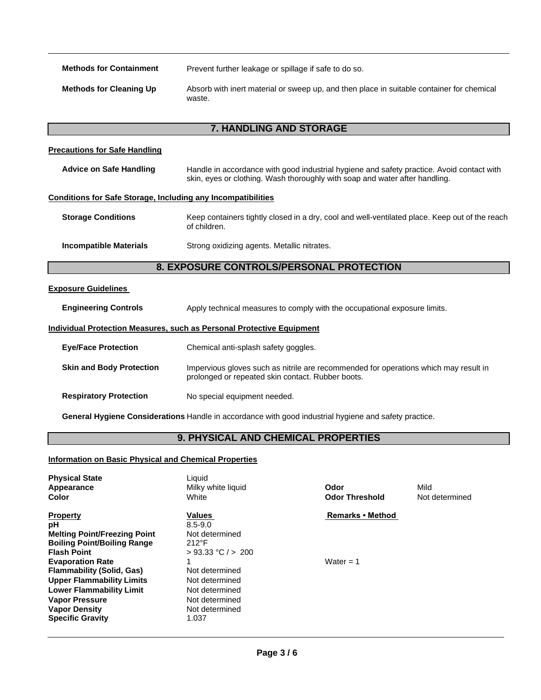**Methods for Containment** Prevent further leakage or spillage if safe to do so.

**Methods for Cleaning Up** Absorb with inert material or sweep up, and then place in suitable container for chemical waste.

# **7. HANDLING AND STORAGE**

## **Precautions for Safe Handling**

| Advice on Safe Handling | Handle in accordance with good industrial hygiene and safety practice. Avoid contact with |
|-------------------------|-------------------------------------------------------------------------------------------|
|                         | skin, eyes or clothing. Wash thoroughly with soap and water after handling.               |

#### **Conditions for Safe Storage, Including any Incompatibilities**

| <b>Storage Conditions</b> | Keep containers tightly closed in a dry, cool and well-ventilated place. Keep out of the reach<br>of children. |
|---------------------------|----------------------------------------------------------------------------------------------------------------|
|                           | .  .                                                                                                           |

**Incompatible Materials** Strong oxidizing agents. Metallic nitrates.

# **8. EXPOSURE CONTROLS/PERSONAL PROTECTION**

## **Exposure Guidelines**

**Engineering Controls** Apply technical measures to comply with the occupational exposure limits.

## **Individual Protection Measures, such as Personal Protective Equipment**

| <b>Eye/Face Protection</b>      | Chemical anti-splash safety goggles.                                                                                                      |
|---------------------------------|-------------------------------------------------------------------------------------------------------------------------------------------|
| <b>Skin and Body Protection</b> | Impervious gloves such as nitrile are recommended for operations which may result in<br>prolonged or repeated skin contact. Rubber boots. |
| <b>Respiratory Protection</b>   | No special equipment needed.                                                                                                              |

**General Hygiene Considerations** Handle in accordance with good industrial hygiene and safety practice.

# **9. PHYSICAL AND CHEMICAL PROPERTIES**

#### **Information on Basic Physical and Chemical Properties**

| <b>Physical State</b><br>Appearance<br>Color                                                                                                                                                                   | Liquid<br>Milky white liquid<br>White                                                           | Odor<br><b>Odor Threshold</b> | Mild<br>Not determined |
|----------------------------------------------------------------------------------------------------------------------------------------------------------------------------------------------------------------|-------------------------------------------------------------------------------------------------|-------------------------------|------------------------|
| <b>Property</b><br>рH<br><b>Melting Point/Freezing Point</b><br><b>Boiling Point/Boiling Range</b><br><b>Flash Point</b>                                                                                       | Values<br>$8.5 - 9.0$<br>Not determined<br>$212^{\circ}F$<br>$> 93.33$ °C $/$ > 200             | <b>Remarks • Method</b>       |                        |
| <b>Evaporation Rate</b><br><b>Flammability (Solid, Gas)</b><br><b>Upper Flammability Limits</b><br><b>Lower Flammability Limit</b><br><b>Vapor Pressure</b><br><b>Vapor Density</b><br><b>Specific Gravity</b> | Not determined<br>Not determined<br>Not determined<br>Not determined<br>Not determined<br>1.037 | Water $= 1$                   |                        |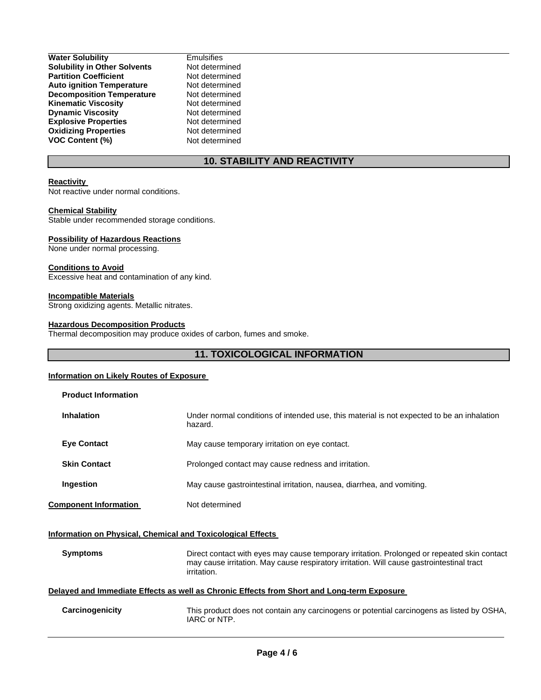| <b>Solubility in Other Solvents</b><br><b>Partition Coefficient</b><br><b>Auto ignition Temperature</b><br><b>Decomposition Temperature</b><br><b>Kinematic Viscosity</b><br><b>Dynamic Viscosity</b><br><b>Explosive Properties</b><br><b>Oxidizing Properties</b><br><b>VOC Content (%)</b> | <b>Water Solubility</b> | Er |
|-----------------------------------------------------------------------------------------------------------------------------------------------------------------------------------------------------------------------------------------------------------------------------------------------|-------------------------|----|
|                                                                                                                                                                                                                                                                                               |                         | N٥ |
|                                                                                                                                                                                                                                                                                               |                         | N  |
|                                                                                                                                                                                                                                                                                               |                         | N٥ |
|                                                                                                                                                                                                                                                                                               |                         | N٥ |
|                                                                                                                                                                                                                                                                                               |                         | N  |
|                                                                                                                                                                                                                                                                                               |                         | N  |
|                                                                                                                                                                                                                                                                                               |                         | N٥ |
|                                                                                                                                                                                                                                                                                               |                         | N٥ |
|                                                                                                                                                                                                                                                                                               |                         | N  |

mulsifies ot determined *<u>Iot</u>* determined **lot** determined ot determined *A* determined *<u>determined</u>* ot determined ot determined ot determined

# **10. STABILITY AND REACTIVITY**

#### **Reactivity**

Not reactive under normal conditions.

#### **Chemical Stability**

Stable under recommended storage conditions.

## **Possibility of Hazardous Reactions**

None under normal processing.

#### **Conditions to Avoid**

Excessive heat and contamination of any kind.

#### **Incompatible Materials**

Strong oxidizing agents. Metallic nitrates.

#### **Hazardous Decomposition Products**

Thermal decomposition may produce oxides of carbon, fumes and smoke.

# **11. TOXICOLOGICAL INFORMATION**

#### **Information on Likely Routes of Exposure**

| <b>Product Information</b>                                                                 |                                                                                                                                                                                                         |  |
|--------------------------------------------------------------------------------------------|---------------------------------------------------------------------------------------------------------------------------------------------------------------------------------------------------------|--|
| <b>Inhalation</b>                                                                          | Under normal conditions of intended use, this material is not expected to be an inhalation<br>hazard.                                                                                                   |  |
| <b>Eye Contact</b>                                                                         | May cause temporary irritation on eye contact.                                                                                                                                                          |  |
| <b>Skin Contact</b>                                                                        | Prolonged contact may cause redness and irritation.                                                                                                                                                     |  |
| Ingestion                                                                                  | May cause gastrointestinal irritation, nausea, diarrhea, and vomiting.                                                                                                                                  |  |
| <b>Component Information</b>                                                               | Not determined                                                                                                                                                                                          |  |
| <b>Information on Physical, Chemical and Toxicological Effects</b>                         |                                                                                                                                                                                                         |  |
| <b>Symptoms</b>                                                                            | Direct contact with eyes may cause temporary irritation. Prolonged or repeated skin contact<br>may cause irritation. May cause respiratory irritation. Will cause gastrointestinal tract<br>irritation. |  |
| Delayed and Immediate Effects as well as Chronic Effects from Short and Long-term Exposure |                                                                                                                                                                                                         |  |
| Carcinogenicity                                                                            | This product does not contain any carcinogens or potential carcinogens as listed by OSHA,<br>IARC or NTP.                                                                                               |  |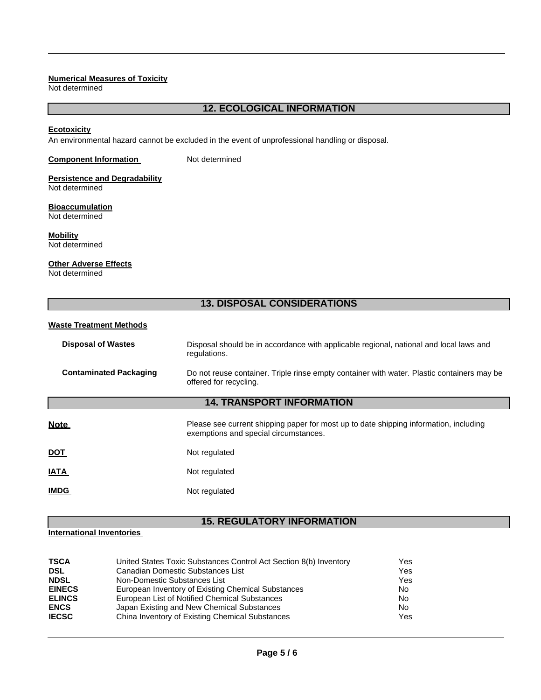#### **Numerical Measures of Toxicity**

Not determined

## **12. ECOLOGICAL INFORMATION**

#### **Ecotoxicity**

An environmental hazard cannot be excluded in the event of unprofessional handling or disposal.

## **Component Information Not determined**

# **Persistence and Degradability**

Not determined

#### **Bioaccumulation** Not determined

**Mobility**

Not determined

#### **Other Adverse Effects**

Not determined

# **13. DISPOSAL CONSIDERATIONS**

## **Waste Treatment Methods**

| <b>Disposal of Wastes</b>        | Disposal should be in accordance with applicable regional, national and local laws and<br>regulations.                         |  |
|----------------------------------|--------------------------------------------------------------------------------------------------------------------------------|--|
| <b>Contaminated Packaging</b>    | Do not reuse container. Triple rinse empty container with water. Plastic containers may be<br>offered for recycling.           |  |
| <b>14. TRANSPORT INFORMATION</b> |                                                                                                                                |  |
| <b>Note</b>                      | Please see current shipping paper for most up to date shipping information, including<br>exemptions and special circumstances. |  |
| <u>DOT</u>                       | Not regulated                                                                                                                  |  |
| <b>ATAI</b>                      | Not regulated                                                                                                                  |  |
| <b>IMDG</b>                      | Not regulated                                                                                                                  |  |

# **15. REGULATORY INFORMATION**

# **International Inventories**

| <b>TSCA</b><br><b>DSL</b><br><b>NDSL</b><br><b>EINECS</b><br><b>ELINCS</b> | United States Toxic Substances Control Act Section 8(b) Inventory<br>Canadian Domestic Substances List<br>Non-Domestic Substances List<br>European Inventory of Existing Chemical Substances | Yes<br>Yes<br>Yes<br>No<br>No |
|----------------------------------------------------------------------------|----------------------------------------------------------------------------------------------------------------------------------------------------------------------------------------------|-------------------------------|
| <b>ENCS</b><br><b>IECSC</b>                                                | European List of Notified Chemical Substances<br>Japan Existing and New Chemical Substances<br>China Inventory of Existing Chemical Substances                                               | No<br>Yes                     |